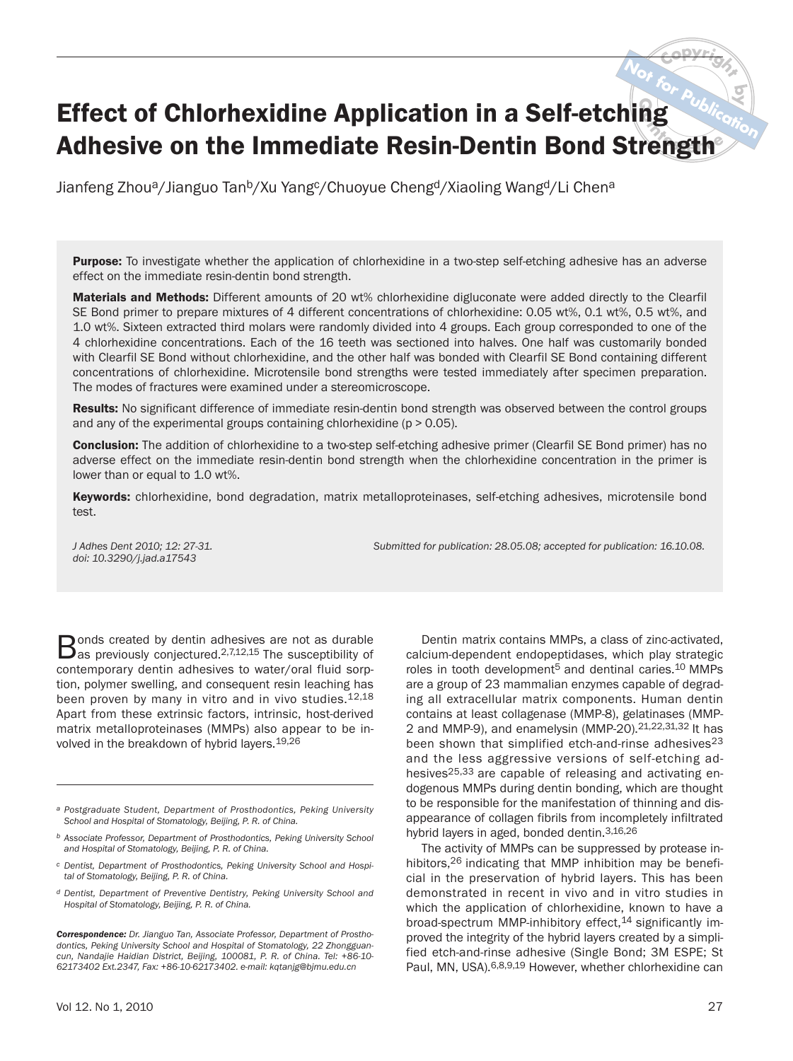# **by Native of Chlorhexidine Application in a Self-etching**  $\frac{dV_{\text{obs}}}{dt_{\text{obs}}}$ **<br>Adhesive on the Immediate Resin-Dentin Bond Strength Publication** Effect of Chlorhexidine Application in a Self-etching

Jianfeng Zhou<sup>a</sup>/Jianguo Tan<sup>b</sup>/Xu Yang<sup>c</sup>/Chuoyue Cheng<sup>d</sup>/Xiaoling Wang<sup>d</sup>/Li Chen<sup>a</sup>

Purpose: To investigate whether the application of chlorhexidine in a two-step self-etching adhesive has an adverse effect on the immediate resin-dentin bond strength.

Materials and Methods: Different amounts of 20 wt% chlorhexidine digluconate were added directly to the Clearfil SE Bond primer to prepare mixtures of 4 different concentrations of chlorhexidine: 0.05 wt%, 0.1 wt%, 0.5 wt%, and 1.0 wt%. Sixteen extracted third molars were randomly divided into 4 groups. Each group corresponded to one of the 4 chlorhexidine concentrations. Each of the 16 teeth was sectioned into halves. One half was customarily bonded with Clearfil SE Bond without chlorhexidine, and the other half was bonded with Clearfil SE Bond containing different concentrations of chlorhexidine. Microtensile bond strengths were tested immediately after specimen preparation. The modes of fractures were examined under a stereomicroscope.

Results: No significant difference of immediate resin-dentin bond strength was observed between the control groups and any of the experimental groups containing chlorhexidine ( $p > 0.05$ ).

**Conclusion:** The addition of chlorhexidine to a two-step self-etching adhesive primer (Clearfil SE Bond primer) has no adverse effect on the immediate resin-dentin bond strength when the chlorhexidine concentration in the primer is lower than or equal to 1.0 wt%.

Keywords: chlorhexidine, bond degradation, matrix metalloproteinases, self-etching adhesives, microtensile bond test.

*doi: 10.3290/j.jad.a17543*

*J Adhes Dent 2010; 12: 27-31. Submitted for publication: 28.05.08; accepted for publication: 16.10.08.*

Dentin matrix contains MMPs, a class of zinc-activated, calcium-dependent endopeptidases, which play strategic roles in tooth development<sup>5</sup> and dentinal caries.<sup>10</sup> MMPs are a group of 23 mammalian enzymes capable of degrading all extracellular matrix components. Human dentin contains at least collagenase (MMP-8), gelatinases (MMP-2 and MMP-9), and enamelysin (MMP-20).  $2^{1,22,31,32}$  It has been shown that simplified etch-and-rinse adhesives<sup>23</sup>

Bonds created by dentin adhesives are not as durable<br>Bas previously conjectured.<sup>2,7,12,15</sup> The susceptibility of contemporary dentin adhesives to water/oral fluid sorption, polymer swelling, and consequent resin leaching has been proven by many in vitro and in vivo studies.<sup>12,18</sup> Apart from these extrinsic factors, intrinsic, host-derived matrix metalloproteinases (MMPs) also appear to be involved in the breakdown of hybrid layers.19,26

- *a Postgraduate Student, Department of Prosthodontics, Peking University School and Hospital of Stomatology, Beijing, P. R. of China.*
- *b Associate Professor, Department of Prosthodontics, Peking University School and Hospital of Stomatology, Beijing, P. R. of China.*
- *c Dentist, Department of Prosthodontics, Peking University School and Hospital of Stomatology, Beijing, P. R. of China.*
- *d Dentist, Department of Preventive Dentistry, Peking University School and Hospital of Stomatology, Beijing, P. R. of China.*

*Correspondence: Dr. Jianguo Tan, Associate Professor, Department of Prosthodontics, Peking University School and Hospital of Stomatology, 22 Zhongguancun, Nandajie Haidian District, Beijing, 100081, P. R. of China. Tel: +86-10- 62173402 Ext.2347, Fax: +86-10-62173402. e-mail: kqtanjg@bjmu.edu.cn*

and the less aggressive versions of self-etching adhesives<sup>25,33</sup> are capable of releasing and activating endogenous MMPs during dentin bonding, which are thought to be responsible for the manifestation of thinning and disappearance of collagen fibrils from incompletely infiltrated hybrid layers in aged, bonded dentin.3,16,26 The activity of MMPs can be suppressed by protease inhibitors,<sup>26</sup> indicating that MMP inhibition may be beneficial in the preservation of hybrid layers. This has been

demonstrated in recent in vivo and in vitro studies in which the application of chlorhexidine, known to have a broad-spectrum MMP-inhibitory effect,<sup>14</sup> significantly improved the integrity of the hybrid layers created by a simplified etch-and-rinse adhesive (Single Bond; 3M ESPE; St Paul, MN, USA).6,8,9,19 However, whether chlorhexidine can

**<sup>C</sup>opyrigh<sup>t</sup>**

**Not**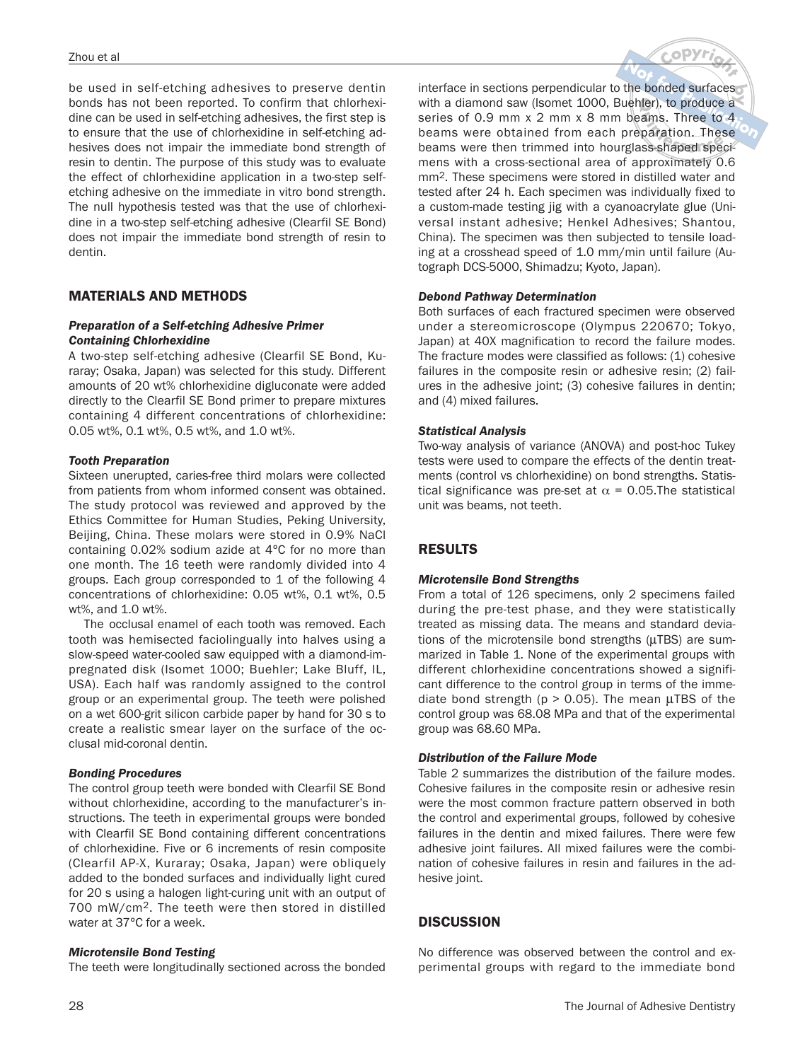be used in self-etching adhesives to preserve dentin bonds has not been reported. To confirm that chlorhexidine can be used in self-etching adhesives, the first step is to ensure that the use of chlorhexidine in self-etching adhesives does not impair the immediate bond strength of resin to dentin. The purpose of this study was to evaluate the effect of chlorhexidine application in a two-step selfetching adhesive on the immediate in vitro bond strength. The null hypothesis tested was that the use of chlorhexidine in a two-step self-etching adhesive (Clearfil SE Bond) does not impair the immediate bond strength of resin to dentin.

# MATERIALS AND METHODS

## *Preparation of a Self-etching Adhesive Primer Containing Chlorhexidine*

A two-step self-etching adhesive (Clearfil SE Bond, Kuraray; Osaka, Japan) was selected for this study. Different amounts of 20 wt% chlorhexidine digluconate were added directly to the Clearfil SE Bond primer to prepare mixtures containing 4 different concentrations of chlorhexidine: 0.05 wt%, 0.1 wt%, 0.5 wt%, and 1.0 wt%.

## *Tooth Preparation*

Sixteen unerupted, caries-free third molars were collected from patients from whom informed consent was obtained. The study protocol was reviewed and approved by the Ethics Committee for Human Studies, Peking University, Beijing, China. These molars were stored in 0.9% NaCl containing 0.02% sodium azide at 4°C for no more than one month. The 16 teeth were randomly divided into 4 groups. Each group corresponded to 1 of the following 4 concentrations of chlorhexidine: 0.05 wt%, 0.1 wt%, 0.5 wt%, and 1.0 wt%.

The occlusal enamel of each tooth was removed. Each tooth was hemisected faciolingually into halves using a slow-speed water-cooled saw equipped with a diamond-impregnated disk (Isomet 1000; Buehler; Lake Bluff, IL, USA). Each half was randomly assigned to the control group or an experimental group. The teeth were polished on a wet 600-grit silicon carbide paper by hand for 30 s to create a realistic smear layer on the surface of the occlusal mid-coronal dentin.

# *Bonding Procedures*

The control group teeth were bonded with Clearfil SE Bond without chlorhexidine, according to the manufacturer's instructions. The teeth in experimental groups were bonded with Clearfil SE Bond containing different concentrations of chlorhexidine. Five or 6 increments of resin composite (Clearfil AP-X, Kuraray; Osaka, Japan) were obliquely added to the bonded surfaces and individually light cured for 20 s using a halogen light-curing unit with an output of 700 mW/cm2. The teeth were then stored in distilled water at 37°C for a week.

#### *Microtensile Bond Testing*

The teeth were longitudinally sectioned across the bonded



**b**<br> **b** interface in sections perpendicular to the bonded surfaces<br>
with a diamond saw (Isomet 1000, Buehler), to produce a **her**), to produce a<br>
rams. Three to 4<br>
paration. These<br>
ss-shaped speciwith a diamond saw (Isomet 1000, Buehler), to produce a<br>series of 0.9 mm x 2 mm x 8 mm beams. Three to 4,<br>beams were obtained from each preparation. These series of 0.9 mm x 2 mm x 8 mm beams. Three to 4 beams were obtained from each preparation. These beams were then trimmed into hourglass-shaped specimens with a cross-sectional area of approximately 0.6 mm2. These specimens were stored in distilled water and tested after 24 h. Each specimen was individually fixed to a custom-made testing jig with a cyanoacrylate glue (Universal instant adhesive; Henkel Adhesives; Shantou, China). The specimen was then subjected to tensile loading at a crosshead speed of 1.0 mm/min until failure (Autograph DCS-5000, Shimadzu; Kyoto, Japan).

# *Debond Pathway Determination*

Both surfaces of each fractured specimen were observed under a stereomicroscope (Olympus 220670; Tokyo, Japan) at 40X magnification to record the failure modes. The fracture modes were classified as follows: (1) cohesive failures in the composite resin or adhesive resin; (2) failures in the adhesive joint; (3) cohesive failures in dentin; and (4) mixed failures.

## *Statistical Analysis*

Two-way analysis of variance (ANOVA) and post-hoc Tukey tests were used to compare the effects of the dentin treatments (control vs chlorhexidine) on bond strengths. Statistical significance was pre-set at  $\alpha$  = 0.05. The statistical unit was beams, not teeth.

# RESULTS

#### *Microtensile Bond Strengths*

From a total of 126 specimens, only 2 specimens failed during the pre-test phase, and they were statistically treated as missing data. The means and standard deviations of the microtensile bond strengths (μTBS) are summarized in Table 1. None of the experimental groups with different chlorhexidine concentrations showed a significant difference to the control group in terms of the immediate bond strength ( $p > 0.05$ ). The mean  $\mu$ TBS of the control group was 68.08 MPa and that of the experimental group was 68.60 MPa.

# *Distribution of the Failure Mode*

Table 2 summarizes the distribution of the failure modes. Cohesive failures in the composite resin or adhesive resin were the most common fracture pattern observed in both the control and experimental groups, followed by cohesive failures in the dentin and mixed failures. There were few adhesive joint failures. All mixed failures were the combination of cohesive failures in resin and failures in the adhesive joint.

# **DISCUSSION**

No difference was observed between the control and experimental groups with regard to the immediate bond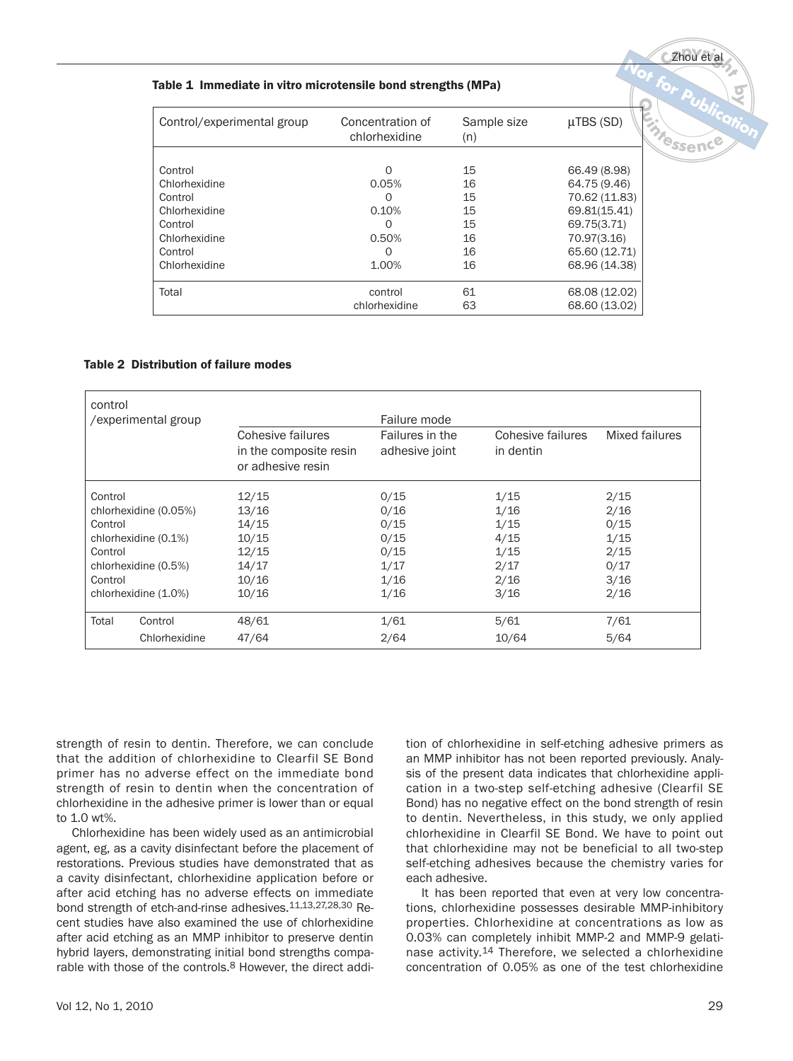#### Table 1 Immediate in vitro microtensile bond strengths (MPa)

| Control/experimental group | Concentration of<br>chlorhexidine | Sample size<br>(n) | $\mu$ TBS (SD) | Messence |
|----------------------------|-----------------------------------|--------------------|----------------|----------|
|                            |                                   |                    |                |          |
| Control                    | $\Omega$                          | 15                 | 66.49 (8.98)   |          |
| Chlorhexidine              | 0.05%                             | 16                 | 64.75 (9.46)   |          |
| Control                    | $\Omega$                          | 15                 | 70.62 (11.83)  |          |
| Chlorhexidine              | 0.10%                             | 15                 | 69.81(15.41)   |          |
| Control                    | $\Omega$                          | 15                 | 69.75(3.71)    |          |
| Chlorhexidine              | 0.50%                             | 16                 | 70.97(3.16)    |          |
| Control                    | $\Omega$                          | 16                 | 65.60 (12.71)  |          |
| Chlorhexidine              | 1.00%                             | 16                 | 68.96 (14.38)  |          |
| Total                      | control                           | 61                 | 68.08 (12.02)  |          |
|                            | chlorhexidine                     | 63                 | 68.60 (13.02)  |          |

#### Table 2 Distribution of failure modes

| control              | /experimental group   |                                                                  | Failure mode                      |                                |                |
|----------------------|-----------------------|------------------------------------------------------------------|-----------------------------------|--------------------------------|----------------|
|                      |                       | Cohesive failures<br>in the composite resin<br>or adhesive resin | Failures in the<br>adhesive joint | Cohesive failures<br>in dentin | Mixed failures |
| Control              |                       | 12/15                                                            | 0/15                              | 1/15                           | 2/15           |
|                      | chlorhexidine (0.05%) | 13/16                                                            | 0/16                              | 1/16                           | 2/16           |
| Control              |                       | 14/15                                                            | 0/15                              | 1/15                           | 0/15           |
| chlorhexidine (0.1%) |                       | 10/15                                                            | 0/15                              | 4/15                           | 1/15           |
| Control              |                       | 12/15                                                            | 0/15                              | 1/15                           | 2/15           |
|                      | chlorhexidine (0.5%)  | 14/17                                                            | 1/17                              | 2/17                           | 0/17           |
| Control              |                       | 10/16                                                            | 1/16                              | 2/16                           | 3/16           |
|                      | chlorhexidine (1.0%)  | 10/16                                                            | 1/16                              | 3/16                           | 2/16           |
| Total                | Control               | 48/61                                                            | 1/61                              | 5/61                           | 7/61           |
|                      | Chlorhexidine         | 47/64                                                            | 2/64                              | 10/64                          | 5/64           |

strength of resin to dentin. Therefore, we can conclude that the addition of chlorhexidine to Clearfil SE Bond primer has no adverse effect on the immediate bond strength of resin to dentin when the concentration of chlorhexidine in the adhesive primer is lower than or equal to 1.0 wt%.

Chlorhexidine has been widely used as an antimicrobial agent, eg, as a cavity disinfectant before the placement of restorations. Previous studies have demonstrated that as a cavity disinfectant, chlorhexidine application before or after acid etching has no adverse effects on immediate bond strength of etch-and-rinse adhesives.11,13,27,28,30 Recent studies have also examined the use of chlorhexidine after acid etching as an MMP inhibitor to preserve dentin hybrid layers, demonstrating initial bond strengths comparable with those of the controls.8 However, the direct addition of chlorhexidine in self-etching adhesive primers as an MMP inhibitor has not been reported previously. Analysis of the present data indicates that chlorhexidine application in a two-step self-etching adhesive (Clearfil SE Bond) has no negative effect on the bond strength of resin to dentin. Nevertheless, in this study, we only applied chlorhexidine in Clearfil SE Bond. We have to point out that chlorhexidine may not be beneficial to all two-step self-etching adhesives because the chemistry varies for each adhesive.

It has been reported that even at very low concentrations, chlorhexidine possesses desirable MMP-inhibitory properties. Chlorhexidine at concentrations as low as 0.03% can completely inhibit MMP-2 and MMP-9 gelatinase activity.<sup>14</sup> Therefore, we selected a chlorhexidine concentration of 0.05% as one of the test chlorhexidine

**<sup>C</sup>opyrigh<sup>t</sup>** Zhou et al

**Not**

**<sup>N</sup>o<sup>t</sup> <sup>r</sup> <sup>o</sup>f**

 **Publication**

**by**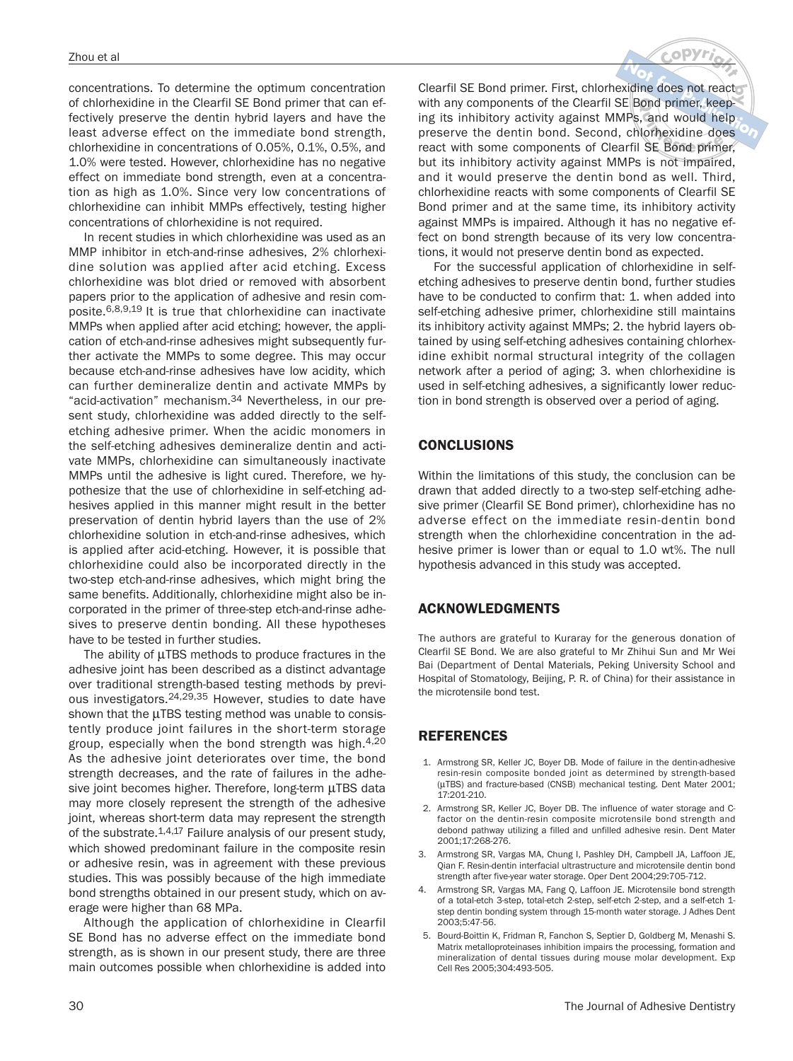concentrations. To determine the optimum concentration of chlorhexidine in the Clearfil SE Bond primer that can effectively preserve the dentin hybrid layers and have the least adverse effect on the immediate bond strength, chlorhexidine in concentrations of 0.05%, 0.1%, 0.5%, and 1.0% were tested. However, chlorhexidine has no negative effect on immediate bond strength, even at a concentration as high as 1.0%. Since very low concentrations of chlorhexidine can inhibit MMPs effectively, testing higher concentrations of chlorhexidine is not required.

In recent studies in which chlorhexidine was used as an MMP inhibitor in etch-and-rinse adhesives, 2% chlorhexidine solution was applied after acid etching. Excess chlorhexidine was blot dried or removed with absorbent papers prior to the application of adhesive and resin composite.6,8,9,19 It is true that chlorhexidine can inactivate MMPs when applied after acid etching; however, the application of etch-and-rinse adhesives might subsequently further activate the MMPs to some degree. This may occur because etch-and-rinse adhesives have low acidity, which can further demineralize dentin and activate MMPs by "acid-activation" mechanism.34 Nevertheless, in our present study, chlorhexidine was added directly to the selfetching adhesive primer. When the acidic monomers in the self-etching adhesives demineralize dentin and activate MMPs, chlorhexidine can simultaneously inactivate MMPs until the adhesive is light cured. Therefore, we hypothesize that the use of chlorhexidine in self-etching adhesives applied in this manner might result in the better preservation of dentin hybrid layers than the use of 2% chlorhexidine solution in etch-and-rinse adhesives, which is applied after acid-etching. However, it is possible that chlorhexidine could also be incorporated directly in the two-step etch-and-rinse adhesives, which might bring the same benefits. Additionally, chlorhexidine might also be incorporated in the primer of three-step etch-and-rinse adhesives to preserve dentin bonding. All these hypotheses have to be tested in further studies.

The ability of μTBS methods to produce fractures in the adhesive joint has been described as a distinct advantage over traditional strength-based testing methods by previous investigators.24,29,35 However, studies to date have shown that the μTBS testing method was unable to consistently produce joint failures in the short-term storage group, especially when the bond strength was high.4,20 As the adhesive joint deteriorates over time, the bond strength decreases, and the rate of failures in the adhesive joint becomes higher. Therefore, long-term μTBS data may more closely represent the strength of the adhesive joint, whereas short-term data may represent the strength of the substrate.1,4,17 Failure analysis of our present study, which showed predominant failure in the composite resin or adhesive resin, was in agreement with these previous studies. This was possibly because of the high immediate bond strengths obtained in our present study, which on average were higher than 68 MPa.

Although the application of chlorhexidine in Clearfil SE Bond has no adverse effect on the immediate bond strength, as is shown in our present study, there are three main outcomes possible when chlorhexidine is added into

**<sup>C</sup>opyrigh<sup>t</sup> Clearfil SE Bond primer. First, chlorhexidine does not react<br>with any components of the Clearfil SE Bond primer keep**would help<br> **v**idine does<br>
ond primer, **k** cond primer, kee<br>**p** is and would he<br>**i** SE Bond prime **NotThe Station SE Bond primers in St, embrinkness does not leads**<br>
with any components of the Clearfil SE Bond primer, keeping<br>
preserve the dentin bond. Second, chlorhexidine does with any components of the Clearfil SE Bond primer, keeping its inhibitory activity against MMPs, and would help react with some components of Clearfil SE Bond primer, but its inhibitory activity against MMPs is not impaired, and it would preserve the dentin bond as well. Third, chlorhexidine reacts with some components of Clearfil SE Bond primer and at the same time, its inhibitory activity against MMPs is impaired. Although it has no negative effect on bond strength because of its very low concentrations, it would not preserve dentin bond as expected.

For the successful application of chlorhexidine in selfetching adhesives to preserve dentin bond, further studies have to be conducted to confirm that: 1. when added into self-etching adhesive primer, chlorhexidine still maintains its inhibitory activity against MMPs; 2. the hybrid layers obtained by using self-etching adhesives containing chlorhexidine exhibit normal structural integrity of the collagen network after a period of aging; 3. when chlorhexidine is used in self-etching adhesives, a significantly lower reduction in bond strength is observed over a period of aging.

## CONCLUSIONS

Within the limitations of this study, the conclusion can be drawn that added directly to a two-step self-etching adhesive primer (Clearfil SE Bond primer), chlorhexidine has no adverse effect on the immediate resin-dentin bond strength when the chlorhexidine concentration in the adhesive primer is lower than or equal to 1.0 wt%. The null hypothesis advanced in this study was accepted.

### ACKNOWLEDGMENTS

The authors are grateful to Kuraray for the generous donation of Clearfil SE Bond. We are also grateful to Mr Zhihui Sun and Mr Wei Bai (Department of Dental Materials, Peking University School and Hospital of Stomatology, Beijing, P. R. of China) for their assistance in the microtensile bond test.

# REFERENCES

- 1. Armstrong SR, Keller JC, Boyer DB. Mode of failure in the dentin-adhesive resin-resin composite bonded joint as determined by strength-based (μTBS) and fracture-based (CNSB) mechanical testing. Dent Mater 2001; 17:201-210.
- 2. Armstrong SR, Keller JC, Boyer DB. The influence of water storage and Cfactor on the dentin-resin composite microtensile bond strength and debond pathway utilizing a filled and unfilled adhesive resin. Dent Mater 2001;17:268-276.
- 3. Armstrong SR, Vargas MA, Chung I, Pashley DH, Campbell JA, Laffoon JE, Qian F. Resin-dentin interfacial ultrastructure and microtensile dentin bond strength after five-year water storage. Oper Dent 2004;29:705-712.
- 4. Armstrong SR, Vargas MA, Fang Q, Laffoon JE. Microtensile bond strength of a total-etch 3-step, total-etch 2-step, self-etch 2-step, and a self-etch 1 step dentin bonding system through 15-month water storage. J Adhes Dent 2003;5:47-56.
- 5. Bourd-Boittin K, Fridman R, Fanchon S, Septier D, Goldberg M, Menashi S. Matrix metalloproteinases inhibition impairs the processing, formation and mineralization of dental tissues during mouse molar development. Exp Cell Res 2005;304:493-505.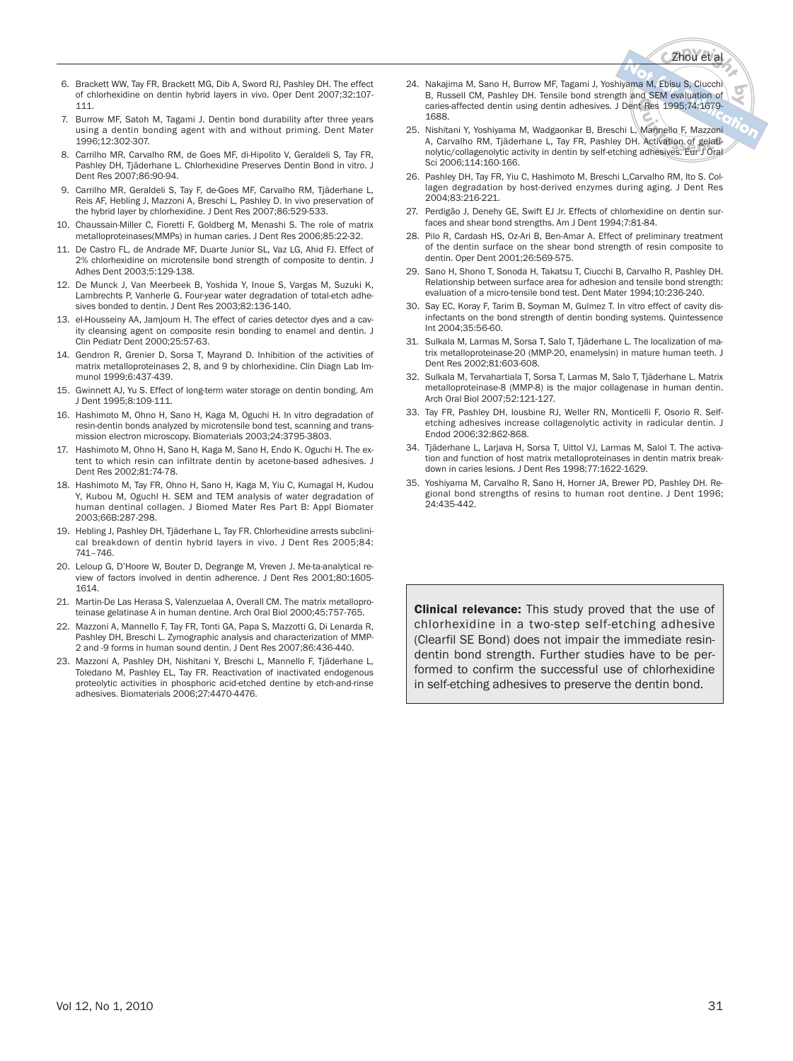# **<sup>C</sup>opyrigh<sup>t</sup>** Zhou et al

- 6. Brackett WW, Tay FR, Brackett MG, Dib A, Sword RJ, Pashley DH. The effect of chlorhexidine on dentin hybrid layers in vivo. Oper Dent 2007;32:107- 111.
- Burrow MF, Satoh M, Tagami J. Dentin bond durability after three years using a dentin bonding agent with and without priming. Dent Mater 1996;12:302-307.
- 8. Carrilho MR, Carvalho RM, de Goes MF, di-Hipolito V, Geraldeli S, Tay FR, Pashley DH, Tjäderhane L. Chlorhexidine Preserves Dentin Bond in vitro. J Dent Res 2007;86:90-94.
- 9. Carrilho MR, Geraldeli S, Tay F, de-Goes MF, Carvalho RM, Tjäderhane L, Reis AF, Hebling J, Mazzoni A, Breschi L, Pashley D. In vivo preservation of the hybrid layer by chlorhexidine. J Dent Res 2007;86:529-533.
- 10. Chaussain-Miller C, Fioretti F, Goldberg M, Menashi S. The role of matrix metalloproteinases(MMPs) in human caries. J Dent Res 2006;85:22-32.
- 11. De Castro FL, de Andrade MF, Duarte Junior SL, Vaz LG, Ahid FJ. Effect of 2% chlorhexidine on microtensile bond strength of composite to dentin. J Adhes Dent 2003;5:129-138.
- 12. De Munck J, Van Meerbeek B, Yoshida Y, Inoue S, Vargas M, Suzuki K, Lambrechts P, Vanherle G. Four-year water degradation of total-etch adhesives bonded to dentin. J Dent Res 2003;82:136-140.
- 13. el-Housseiny AA, Jamjoum H. The effect of caries detector dyes and a cavity cleansing agent on composite resin bonding to enamel and dentin. J Clin Pediatr Dent 2000;25:57-63.
- 14. Gendron R, Grenier D, Sorsa T, Mayrand D. Inhibition of the activities of matrix metalloproteinases 2, 8, and 9 by chlorhexidine. Clin Diagn Lab Immunol 1999;6:437-439.
- 15. Gwinnett AJ, Yu S. Effect of long-term water storage on dentin bonding. Am J Dent 1995;8:109-111.
- 16. Hashimoto M, Ohno H, Sano H, Kaga M, Oguchi H. In vitro degradation of resin-dentin bonds analyzed by microtensile bond test, scanning and transmission electron microscopy. Biomaterials 2003;24:3795-3803.
- 17. Hashimoto M, Ohno H, Sano H, Kaga M, Sano H, Endo K. Oguchi H. The extent to which resin can infiltrate dentin by acetone-based adhesives. J Dent Res 2002;81:74-78.
- 18. Hashimoto M, Tay FR, Ohno H, Sano H, Kaga M, Yiu C, Kumagal H, Kudou Y, Kubou M, Oguchl H. SEM and TEM analysis of water degradation of human dentinal collagen. J Biomed Mater Res Part B: Appl Biomater 2003;66B:287-298.
- 19. Hebling J, Pashley DH, Tjäderhane L, Tay FR. Chlorhexidine arrests subclinical breakdown of dentin hybrid layers in vivo. J Dent Res 2005;84: 741–746.
- 20. Leloup G, D'Hoore W, Bouter D, Degrange M, Vreven J. Me-ta-analytical review of factors involved in dentin adherence. J Dent Res 2001;80:1605- 1614.
- 21. Martin-De Las Herasa S, Valenzuelaa A, Overall CM. The matrix metalloproteinase gelatinase A in human dentine. Arch Oral Biol 2000;45:757-765.
- 22. Mazzoni A, Mannello F, Tay FR, Tonti GA, Papa S, Mazzotti G, Di Lenarda R, Pashley DH, Breschi L. Zymographic analysis and characterization of MMP-2 and -9 forms in human sound dentin. J Dent Res 2007;86:436-440.
- 23. Mazzoni A, Pashley DH, Nishitani Y, Breschi L, Mannello F, Tjäderhane L, Toledano M, Pashley EL, Tay FR. Reactivation of inactivated endogenous proteolytic activities in phosphoric acid-etched dentine by etch-and-rinse adhesives. Biomaterials 2006;27:4470-4476.
- **by Not for**24. Nakajima M, Sano H, Burrow MF, Tagami J, Yoshiyama M, Ebisu S, Ciucchi **B, Russell CM, Pashley DH. Tensile bond strength and SEM evaluation of caries-affected dentin using dentin adhesives. J Dent Res 1995;74:1679-1688.<br>
Nishitani Y, Yoshiyama M, Wadgaonkar B, Breschi L, Mannello F, Mazzoni** caries-affected dentin using dentin adhesives. J Dent Res 1995;74:1679- 1688.
- **K Res** 1995;74:1679-<br>
Mannello F, Mazzoni<br>
Activation of gelati-<br>
adhesives. Eur J Oral 25. Nishitani Y, Yoshiyama M, Wadgaonkar B, Breschi L, Mannello F, Mazzoni A, Carvalho RM, Tjäderhane L, Tay FR, Pashley DH. Activation of gelatinolytic/collagenolytic activity in dentin by self-etching adhesives. Eur J Oral Sci 2006;114:160-166.
- 26. Pashley DH, Tay FR, Yiu C, Hashimoto M, Breschi L,Carvalho RM, Ito S. Collagen degradation by host-derived enzymes during aging. J Dent Res 2004;83:216-221.
- 27. Perdigão J, Denehy GE, Swift EJ Jr. Effects of chlorhexidine on dentin surfaces and shear bond strengths. Am J Dent 1994;7:81-84.
- 28. Pilo R, Cardash HS, Oz-Ari B, Ben-Amar A. Effect of preliminary treatment of the dentin surface on the shear bond strength of resin composite to dentin. Oper Dent 2001;26:569-575.
- 29. Sano H, Shono T, Sonoda H, Takatsu T, Ciucchi B, Carvalho R, Pashley DH. Relationship between surface area for adhesion and tensile bond strength: evaluation of a micro-tensile bond test. Dent Mater 1994;10:236-240.
- 30. Say EC, Koray F, Tarim B, Soyman M, Gulmez T. In vitro effect of cavity disinfectants on the bond strength of dentin bonding systems. Quintessence Int 2004;35:56-60.
- 31. Sulkala M, Larmas M, Sorsa T, Salo T, Tjäderhane L. The localization of matrix metalloproteinase-20 (MMP-20, enamelysin) in mature human teeth. J Dent Res 2002;81:603-608.
- 32. Sulkala M, Tervahartiala T, Sorsa T, Larmas M, Salo T, Tjäderhane L. Matrix metalloproteinase-8 (MMP-8) is the major collagenase in human dentin. Arch Oral Biol 2007;52:121-127.
- 33. Tay FR, Pashley DH, lousbine RJ, Weller RN, Monticelli F, Osorio R. Selfetching adhesives increase collagenolytic activity in radicular dentin. J Endod 2006;32:862-868.
- 34. Tjäderhane L, Larjava H, Sorsa T, Uittol VJ, Larmas M, Salol T. The activation and function of host matrix metalloproteinases in dentin matrix breakdown in caries lesions. J Dent Res 1998;77:1622-1629.
- 35. Yoshiyama M, Carvalho R, Sano H, Horner JA, Brewer PD, Pashley DH. Regional bond strengths of resins to human root dentine. J Dent 1996; 24:435-442.

**Clinical relevance:** This study proved that the use of chlorhexidine in a two-step self-etching adhesive (Clearfil SE Bond) does not impair the immediate resindentin bond strength. Further studies have to be performed to confirm the successful use of chlorhexidine in self-etching adhesives to preserve the dentin bond.